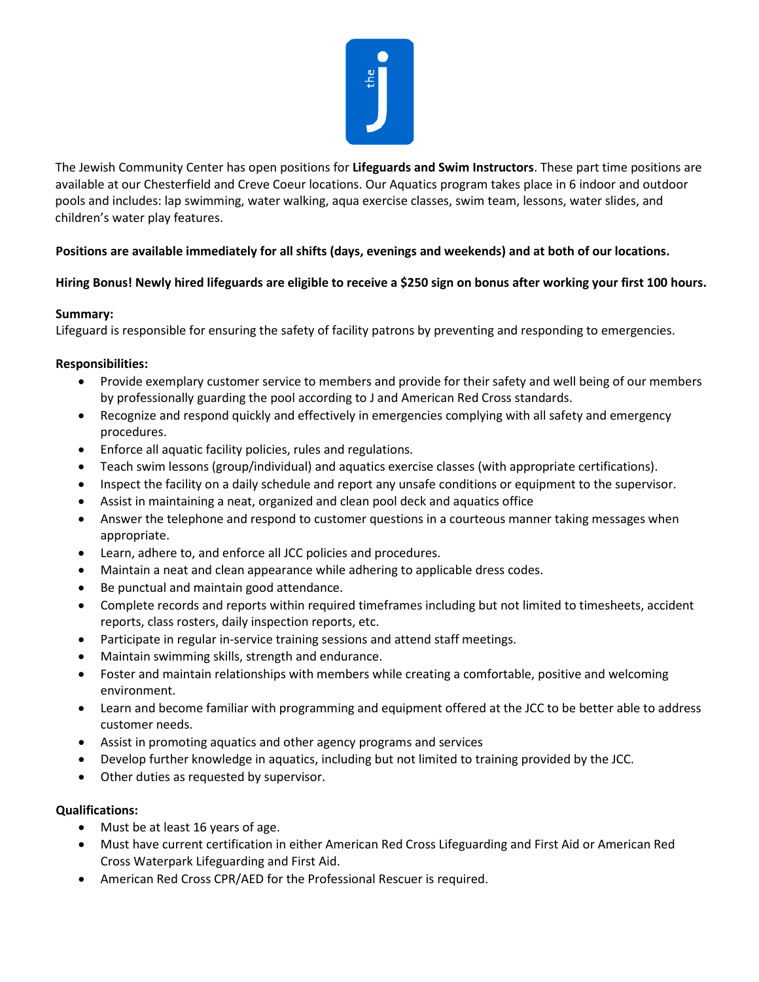

The Jewish Community Center has open positions for **Lifeguards and Swim Instructors**. These part time positions are available at our Chesterfield and Creve Coeur locations. Our Aquatics program takes place in 6 indoor and outdoor pools and includes: lap swimming, water walking, aqua exercise classes, swim team, lessons, water slides, and children's water play features.

# **Positions are available immediately for all shifts (days, evenings and weekends) and at both of our locations.**

# **Hiring Bonus! Newly hired lifeguards are eligible to receive a \$250 sign on bonus after working your first 100 hours.**

### **Summary:**

Lifeguard is responsible for ensuring the safety of facility patrons by preventing and responding to emergencies.

### **Responsibilities:**

- Provide exemplary customer service to members and provide for their safety and well being of our members by professionally guarding the pool according to J and American Red Cross standards.
- Recognize and respond quickly and effectively in emergencies complying with all safety and emergency procedures.
- Enforce all aquatic facility policies, rules and regulations.
- Teach swim lessons (group/individual) and aquatics exercise classes (with appropriate certifications).
- Inspect the facility on a daily schedule and report any unsafe conditions or equipment to the supervisor.
- Assist in maintaining a neat, organized and clean pool deck and aquatics office
- Answer the telephone and respond to customer questions in a courteous manner taking messages when appropriate.
- Learn, adhere to, and enforce all JCC policies and procedures.
- Maintain a neat and clean appearance while adhering to applicable dress codes.
- Be punctual and maintain good attendance.
- Complete records and reports within required timeframes including but not limited to timesheets, accident reports, class rosters, daily inspection reports, etc.
- Participate in regular in-service training sessions and attend staff meetings.
- Maintain swimming skills, strength and endurance.
- Foster and maintain relationships with members while creating a comfortable, positive and welcoming environment.
- Learn and become familiar with programming and equipment offered at the JCC to be better able to address customer needs.
- Assist in promoting aquatics and other agency programs and services
- Develop further knowledge in aquatics, including but not limited to training provided by the JCC.
- Other duties as requested by supervisor.

### **Qualifications:**

- Must be at least 16 years of age.
- Must have current certification in either American Red Cross Lifeguarding and First Aid or American Red Cross Waterpark Lifeguarding and First Aid.
- American Red Cross CPR/AED for the Professional Rescuer is required.